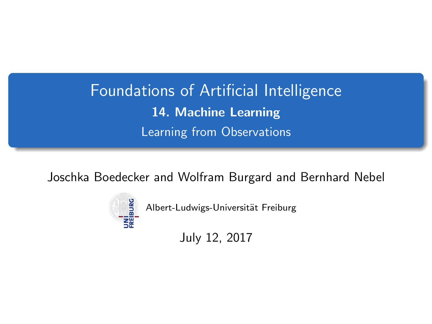# <span id="page-0-0"></span>Foundations of Artificial Intelligence 14. Machine Learning Learning from Observations

Joschka Boedecker and Wolfram Burgard and Bernhard Nebel



Albert-Ludwigs-Universität Freiburg

July 12, 2017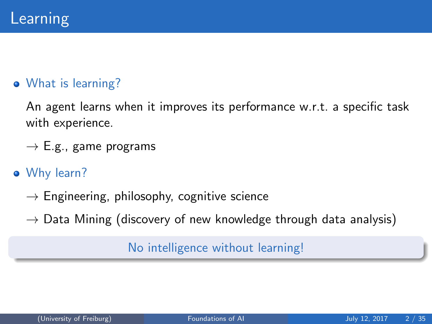#### What is learning?

An agent learns when it improves its performance w.r.t. a specific task with experience.

- $\rightarrow$  E.g., game programs
- Why learn?
	- $\rightarrow$  Engineering, philosophy, cognitive science
	- $\rightarrow$  Data Mining (discovery of new knowledge through data analysis)

#### No intelligence without learning!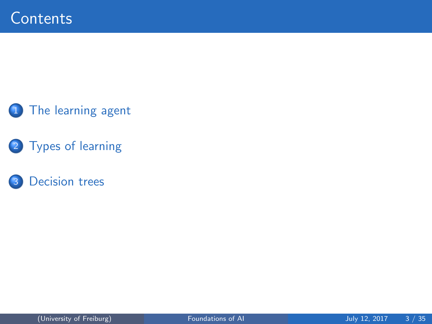#### 1 [The learning agent](#page-3-0)

2 [Types of learning](#page-6-0)

#### 3 [Decision trees](#page-9-0)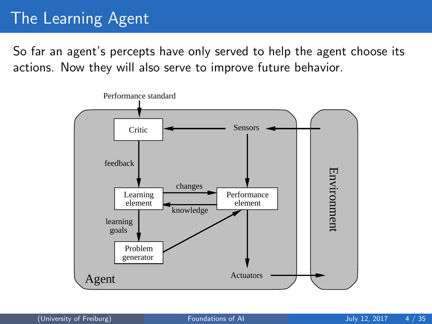## <span id="page-3-0"></span>The Learning Agent

So far an agent's percepts have only served to help the agent choose its actions. Now they will also serve to improve future behavior.

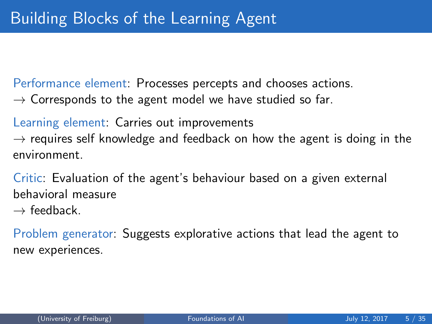Performance element: Processes percepts and chooses actions.

 $\rightarrow$  Corresponds to the agent model we have studied so far.

Learning element: Carries out improvements  $\rightarrow$  requires self knowledge and feedback on how the agent is doing in the environment.

Critic: Evaluation of the agent's behaviour based on a given external behavioral measure

 $\rightarrow$  feedback

Problem generator: Suggests explorative actions that lead the agent to new experiences.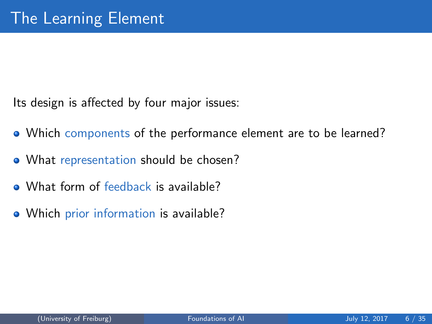Its design is affected by four major issues:

- Which components of the performance element are to be learned?
- What representation should be chosen?
- What form of feedback is available?
- Which prior information is available?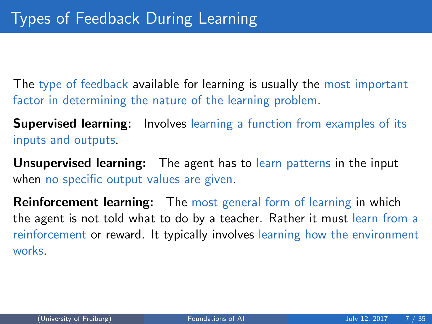<span id="page-6-0"></span>The type of feedback available for learning is usually the most important factor in determining the nature of the learning problem.

**Supervised learning:** Involves learning a function from examples of its inputs and outputs.

Unsupervised learning: The agent has to learn patterns in the input when no specific output values are given.

**Reinforcement learning:** The most general form of learning in which the agent is not told what to do by a teacher. Rather it must learn from a reinforcement or reward. It typically involves learning how the environment works.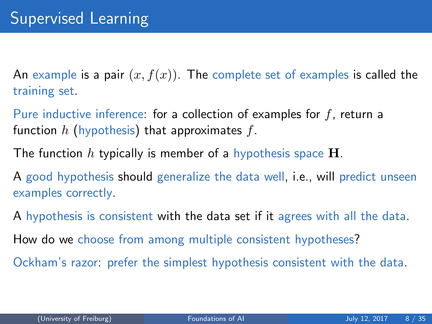An example is a pair  $(x, f(x))$ . The complete set of examples is called the training set.

Pure inductive inference: for a collection of examples for f, return a function h (hypothesis) that approximates f.

The function h typically is member of a hypothesis space  $H$ .

A good hypothesis should generalize the data well, i.e., will predict unseen examples correctly.

A hypothesis is consistent with the data set if it agrees with all the data.

How do we choose from among multiple consistent hypotheses?

Ockham's razor: prefer the simplest hypothesis consistent with the data.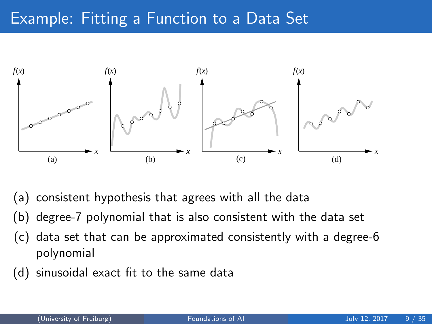## Example: Fitting a Function to a Data Set



- (a) consistent hypothesis that agrees with all the data
- (b) degree-7 polynomial that is also consistent with the data set
- (c) data set that can be approximated consistently with a degree-6 polynomial
- (d) sinusoidal exact fit to the same data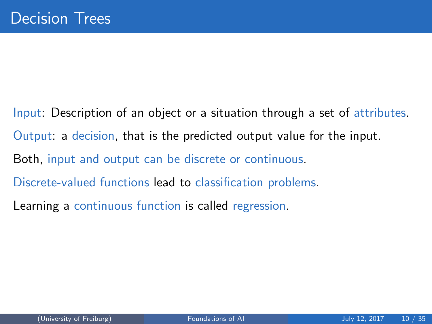<span id="page-9-0"></span>Input: Description of an object or a situation through a set of attributes. Output: a decision, that is the predicted output value for the input. Both, input and output can be discrete or continuous. Discrete-valued functions lead to classification problems. Learning a continuous function is called regression.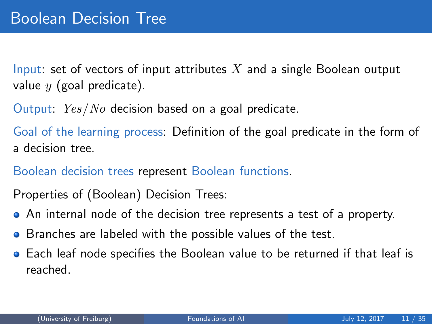Input: set of vectors of input attributes  $X$  and a single Boolean output value  $y$  (goal predicate).

Output: Yes/No decision based on a goal predicate.

Goal of the learning process: Definition of the goal predicate in the form of a decision tree.

Boolean decision trees represent Boolean functions.

Properties of (Boolean) Decision Trees:

- An internal node of the decision tree represents a test of a property.
- **•** Branches are labeled with the possible values of the test.
- Each leaf node specifies the Boolean value to be returned if that leaf is reached.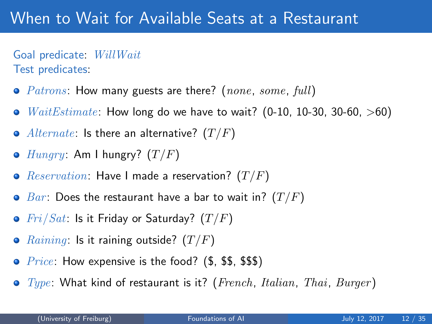## When to Wait for Available Seats at a Restaurant

Goal predicate: WillWait Test predicates:

- $Patrons$ : How many guests are there? (none, some, full)
- $WaitEstimate$ : How long do we have to wait? (0-10, 10-30, 30-60, >60)  $\bullet$
- Alternate: Is there an alternative?  $(T/F)$
- $Hungry:$  Am I hungry?  $(T/F)$
- *Reservation*: Have I made a reservation?  $(T/F)$  $\bullet$
- $\bullet$  Bar: Does the restaurant have a bar to wait in?  $(T/F)$
- $Fri/Sat$ : Is it Friday or Saturday?  $(T/F)$
- *Raining*: Is it raining outside?  $(T/F)$  $\bullet$
- *Price:* How expensive is the food?  $(\text{\$}, \text{\$}\$, \text{\$}\$)$  $\bullet$
- $\bullet$  Type: What kind of restaurant is it? (French, Italian, Thai, Burger)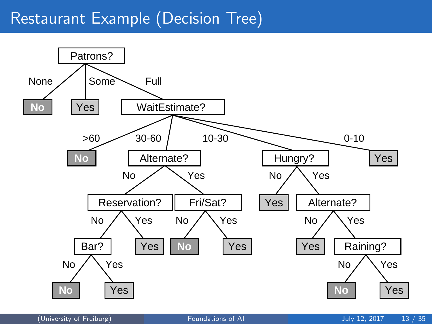### Restaurant Example (Decision Tree)

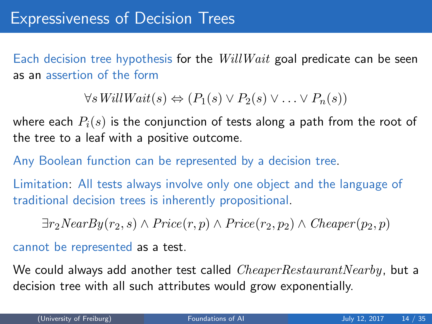Each decision tree hypothesis for the  $WillWait$  goal predicate can be seen as an assertion of the form

 $\forall s \textit{WillWait}(s) \Leftrightarrow (P_1(s) \vee P_2(s) \vee \ldots \vee P_n(s))$ 

where each  $P_i(s)$  is the conjunction of tests along a path from the root of the tree to a leaf with a positive outcome.

Any Boolean function can be represented by a decision tree.

Limitation: All tests always involve only one object and the language of traditional decision trees is inherently propositional.

 $\exists r_2NearBy(r_2, s) \wedge Price(r, p) \wedge Price(r_2, p_2) \wedge Cheaper(p_2, p)$ 

cannot be represented as a test.

We could always add another test called  $CheaperRestaurantNearby$ , but a decision tree with all such attributes would grow exponentially.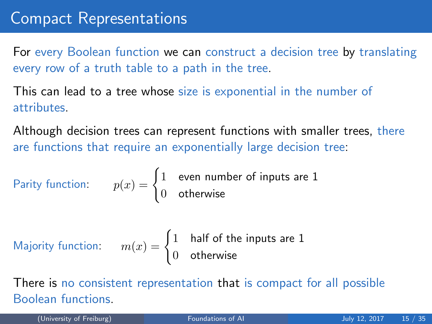For every Boolean function we can construct a decision tree by translating every row of a truth table to a path in the tree.

This can lead to a tree whose size is exponential in the number of attributes.

Although decision trees can represent functions with smaller trees, there are functions that require an exponentially large decision tree:

Parity function: 
$$
p(x) = \begin{cases} 1 & \text{even number of inputs are 1} \\ 0 & \text{otherwise} \end{cases}
$$

Majority function: 
$$
m(x) = \begin{cases} 1 & \text{half of the inputs are 1} \\ 0 & \text{otherwise} \end{cases}
$$

There is no consistent representation that is compact for all possible Boolean functions.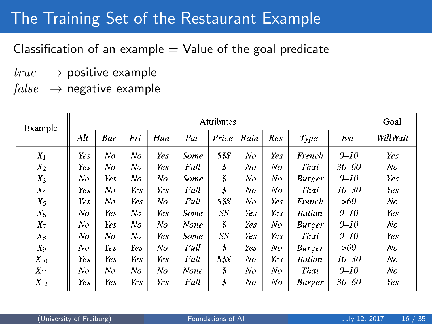## The Training Set of the Restaurant Example

Classification of an example  $=$  Value of the goal predicate

- $true \rightarrow$  positive example
- $false \rightarrow$  negative example

| Example  | Attributes |     |     |     |      |        |      |     |                |           | Goal           |
|----------|------------|-----|-----|-----|------|--------|------|-----|----------------|-----------|----------------|
|          | Alt        | Bar | Fri | Hun | Pat  | Price  | Rain | Res | Type           | Est       | WillWait       |
| $X_1$    | Yes        | No  | No  | Yes | Some | \$\$\$ | No   | Yes | French         | $0 - 10$  | Yes            |
| $X_2$    | Yes        | No  | No  | Yes | Full | \$     | No   | No  | Thai           | 30–60     | No             |
| $X_3$    | No         | Yes | No  | No  | Some | \$     | No   | No  | <b>Burger</b>  | $0 - 10$  | Yes            |
| $X_4$    | Yes        | No  | Yes | Yes | Full | \$     | No   | No  | Thai           | $10 - 30$ | Yes            |
| $X_5$    | Yes        | No  | Yes | No  | Full | \$\$\$ | No   | Yes | French         | >60       | No             |
| $X_6$    | No         | Yes | No  | Yes | Some | \$\$   | Yes  | Yes | Italian        | $0 - 10$  | Yes            |
| $X_7$    | No         | Yes | No  | No  | None | \$     | Yes  | No  | <b>Burger</b>  | $0 - 10$  | N <sub>O</sub> |
| $X_8$    | No         | No  | No  | Yes | Some | \$\$   | Yes  | Yes | Thai           | $0 - 10$  | Yes            |
| $X_9$    | No         | Yes | Yes | No  | Full | \$     | Yes  | No  | <b>Burger</b>  | >60       | No             |
| $X_{10}$ | Yes        | Yes | Yes | Yes | Full | \$\$\$ | No   | Yes | <b>Italian</b> | $10 - 30$ | No             |
| $X_{11}$ | No         | No  | No  | No  | None | \$     | No   | No  | Thai           | $0 - 10$  | No             |
| $X_{12}$ | Yes        | Yes | Yes | Yes | Full | \$     | No   | No  | <b>Burger</b>  | 30–60     | Yes            |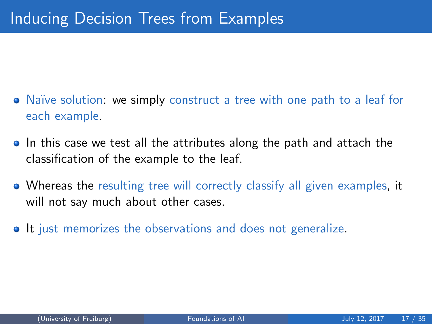- Naïve solution: we simply construct a tree with one path to a leaf for each example.
- In this case we test all the attributes along the path and attach the classification of the example to the leaf.
- Whereas the resulting tree will correctly classify all given examples, it will not say much about other cases.
- It just memorizes the observations and does not generalize.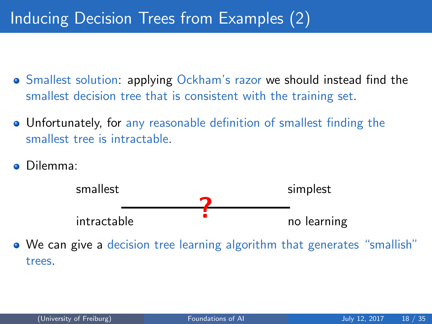## Inducing Decision Trees from Examples (2)

- Smallest solution: applying Ockham's razor we should instead find the smallest decision tree that is consistent with the training set.
- Unfortunately, for any reasonable definition of smallest finding the smallest tree is intractable.
- Dilemma:



We can give a decision tree learning algorithm that generates "smallish" trees.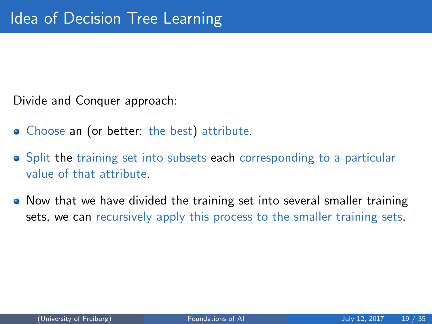Divide and Conquer approach:

- Choose an (or better: the best) attribute.
- Split the training set into subsets each corresponding to a particular value of that attribute.
- Now that we have divided the training set into several smaller training sets, we can recursively apply this process to the smaller training sets.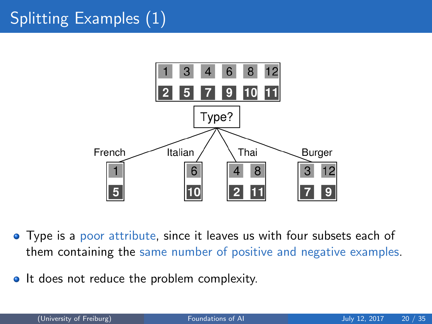# Splitting Examples (1)



- Type is a poor attribute, since it leaves us with four subsets each of them containing the same number of positive and negative examples.
- It does not reduce the problem complexity.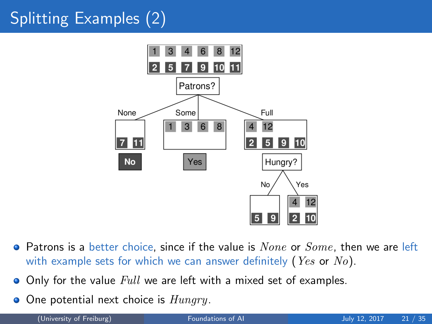# Splitting Examples (2)



- $\bullet$  Patrons is a better choice, since if the value is  $None$  or  $Some$ , then we are left with example sets for which we can answer definitely (*Yes* or  $No$ ).
- Only for the value Full we are left with a mixed set of examples.  $\bullet$
- One potential next choice is *Hungry*.  $\bullet$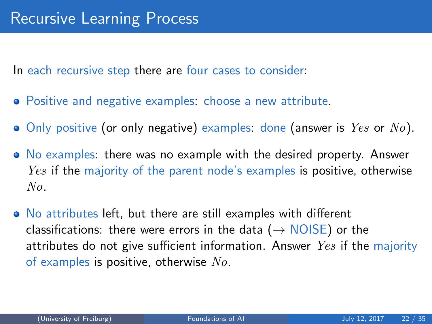In each recursive step there are four cases to consider:

- Positive and negative examples: choose a new attribute.
- $\bullet$  Only positive (or only negative) examples: done (answer is  $Yes$  or  $No$ ).
- No examples: there was no example with the desired property. Answer *Yes* if the majority of the parent node's examples is positive, otherwise No.
- No attributes left, but there are still examples with different classifications: there were errors in the data ( $\rightarrow$  NOISE) or the attributes do not give sufficient information. Answer  $Yes$  if the majority of examples is positive, otherwise  $No$ .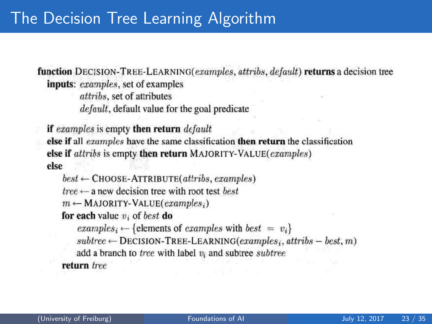function DECISION-TREE-LEARNING(examples, attribs, default) returns a decision tree inputs: examples, set of examples

attribs, set of attributes *default*, default value for the goal predicate

if examples is empty then return default else if all examples have the same classification then return the classification else if attribs is empty then return MAJORITY-VALUE(examples) else

 $best \leftarrow$ CHOOSE-ATTRIBUTE(attribs, examples)

 $tree \leftarrow$  a new decision tree with root test best.

 $m \leftarrow$  MAJORITY-VALUE(examples;)

for each value  $v_i$  of best do

examples<sub>i</sub>  $\leftarrow$  {elements of examples with best =  $v_i$ }

 $subtree \leftarrow$  DECISION-TREE-LEARNING(examples; attribs - best, m)

add a branch to tree with label  $v_i$  and subtree subtree

return tree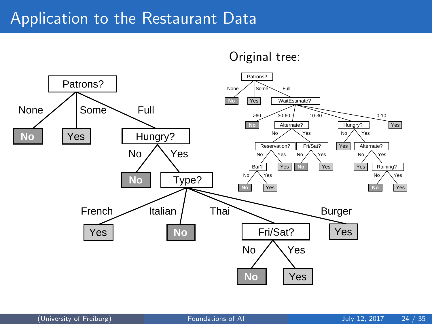#### Application to the Restaurant Data



Original tree: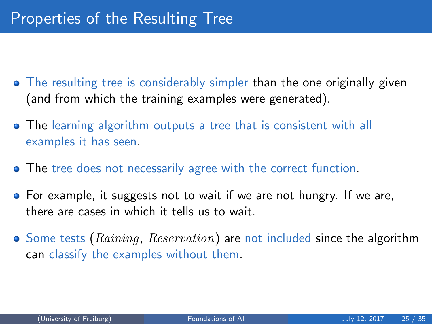- The resulting tree is considerably simpler than the one originally given (and from which the training examples were generated).
- The learning algorithm outputs a tree that is consistent with all examples it has seen.
- **The tree does not necessarily agree with the correct function.**
- **•** For example, it suggests not to wait if we are not hungry. If we are, there are cases in which it tells us to wait.
- $\bullet$  Some tests (Raining, Reservation) are not included since the algorithm can classify the examples without them.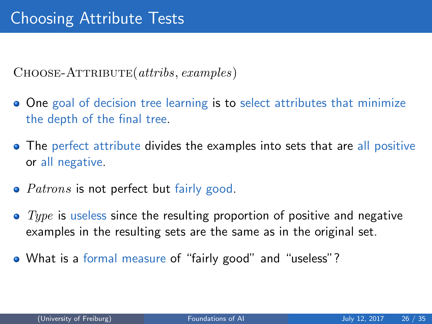$CHOOSE-ATTRIBUTE(a tribs, examples)$ 

- One goal of decision tree learning is to select attributes that minimize the depth of the final tree.
- The perfect attribute divides the examples into sets that are all positive or all negative.
- $\bullet$  *Patrons* is not perfect but fairly good.
- $\bullet$  Type is useless since the resulting proportion of positive and negative examples in the resulting sets are the same as in the original set.
- What is a formal measure of "fairly good" and "useless"?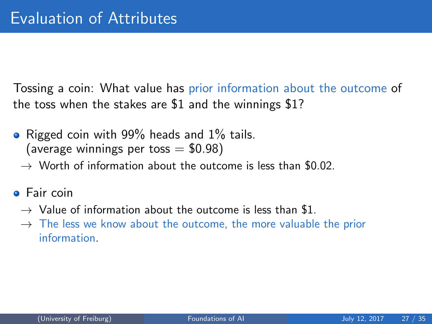Tossing a coin: What value has prior information about the outcome of the toss when the stakes are \$1 and the winnings \$1?

- Rigged coin with 99% heads and 1% tails. (average winnings per toss  $= $0.98$ )
	- $\rightarrow$  Worth of information about the outcome is less than \$0.02.
- **o** Fair coin
	- $\rightarrow$  Value of information about the outcome is less than \$1.
	- $\rightarrow$  The less we know about the outcome, the more valuable the prior information.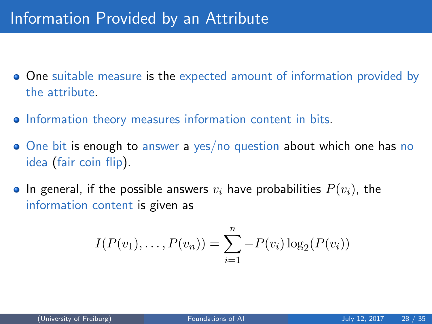- **One** suitable measure is the expected amount of information provided by the attribute.
- **•** Information theory measures information content in bits.
- One bit is enough to answer a yes/no question about which one has no idea (fair coin flip).
- In general, if the possible answers  $v_i$  have probabilities  $P(v_i)$ , the information content is given as

$$
I(P(v_1),...,P(v_n)) = \sum_{i=1}^n -P(v_i)\log_2(P(v_i))
$$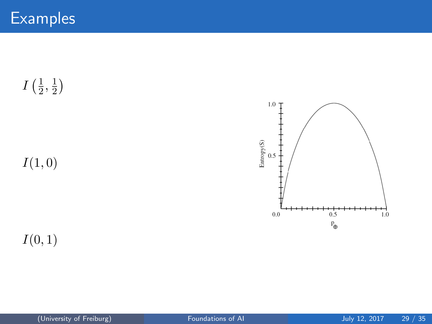$I\left(\frac{1}{2}\right)$  $\frac{1}{2}, \frac{1}{2}$  $\frac{1}{2}$ 

 $I(1, 0)$ 

 $\ensuremath{\mathsf{Entropy}}(\ensuremath{\mathsf{S}})$  $0.5$ ⊣  $0.0$  $0.5$  $1.0$  $P_{\bigoplus}$ 

 $1.0$ 

 $I(0, 1)$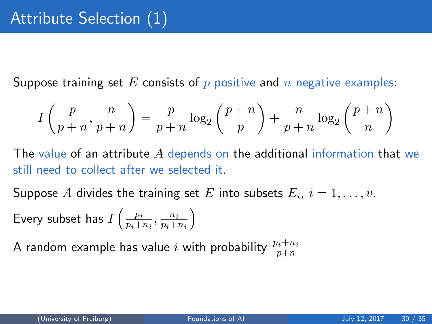Suppose training set E consists of  $p$  positive and  $n$  negative examples:

$$
I\left(\frac{p}{p+n}, \frac{n}{p+n}\right) = \frac{p}{p+n} \log_2\left(\frac{p+n}{p}\right) + \frac{n}{p+n} \log_2\left(\frac{p+n}{n}\right)
$$

The value of an attribute A depends on the additional information that we still need to collect after we selected it.

Suppose  $A$  divides the training set  $E$  into subsets  $E_i, \ i=1,\ldots,v.$ Every subset has  $I\left(\frac{p_i}{n+1}\right)$  $\frac{p_i}{p_i+n_i}, \frac{n_i}{p_i+}$  $p_i+n_i$  $\setminus$ 

A random example has value  $i$  with probability  $\frac{p_i+n_i}{p+n}$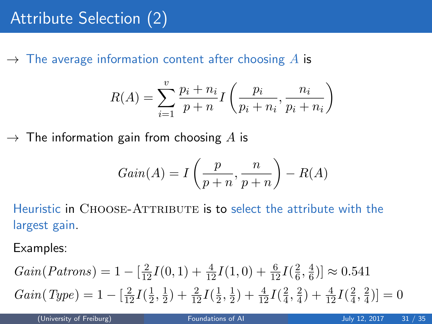$\rightarrow$  The average information content after choosing A is

$$
R(A) = \sum_{i=1}^{v} \frac{p_i + n_i}{p + n} I\left(\frac{p_i}{p_i + n_i}, \frac{n_i}{p_i + n_i}\right)
$$

 $\rightarrow$  The information gain from choosing A is

$$
Gain(A) = I\left(\frac{p}{p+n}, \frac{n}{p+n}\right) - R(A)
$$

Heuristic in CHOOSE-ATTRIBUTE is to select the attribute with the largest gain.

Examples:

$$
Gain(Patrons) = 1 - \left[\frac{2}{12}I(0,1) + \frac{4}{12}I(1,0) + \frac{6}{12}I(\frac{2}{6}, \frac{4}{6})\right] \approx 0.541
$$
  
\n
$$
Gain(Type) = 1 - \left[\frac{2}{12}I(\frac{1}{2}, \frac{1}{2}) + \frac{2}{12}I(\frac{1}{2}, \frac{1}{2}) + \frac{4}{12}I(\frac{2}{4}, \frac{2}{4}) + \frac{4}{12}I(\frac{2}{4}, \frac{2}{4})\right] = 0
$$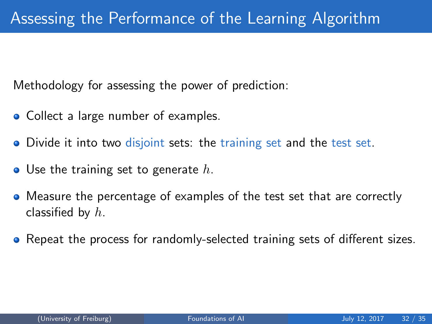Methodology for assessing the power of prediction:

- Collect a large number of examples.
- Divide it into two disjoint sets: the training set and the test set.
- $\bullet$  Use the training set to generate h.
- Measure the percentage of examples of the test set that are correctly classified by  $h$ .
- Repeat the process for randomly-selected training sets of different sizes.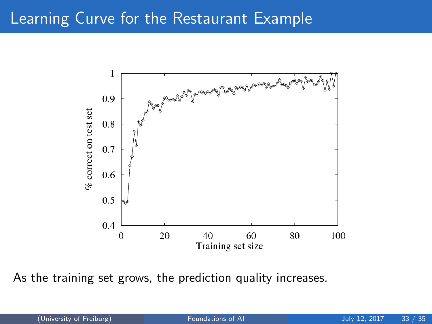### Learning Curve for the Restaurant Example



As the training set grows, the prediction quality increases.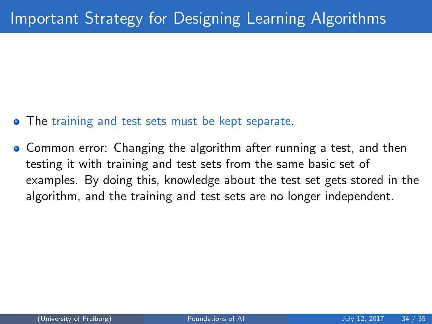- **The training and test sets must be kept separate.**
- **Common error: Changing the algorithm after running a test, and then** testing it with training and test sets from the same basic set of examples. By doing this, knowledge about the test set gets stored in the algorithm, and the training and test sets are no longer independent.